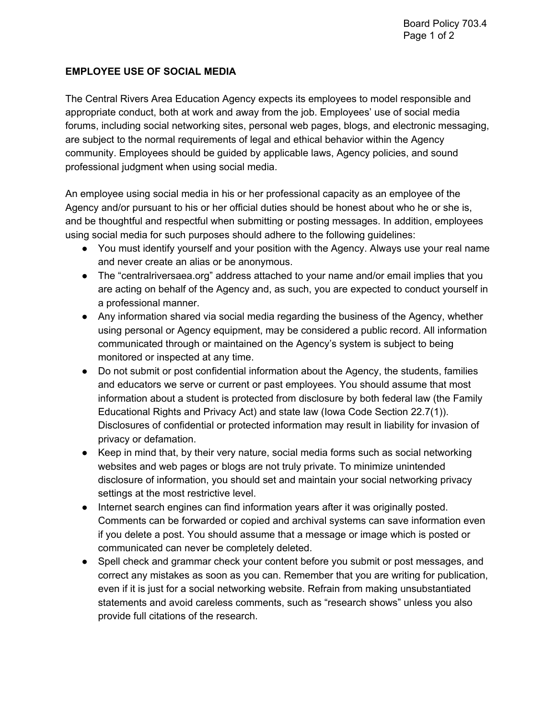## **EMPLOYEE USE OF SOCIAL MEDIA**

The Central Rivers Area Education Agency expects its employees to model responsible and appropriate conduct, both at work and away from the job. Employees' use of social media forums, including social networking sites, personal web pages, blogs, and electronic messaging, are subject to the normal requirements of legal and ethical behavior within the Agency community. Employees should be guided by applicable laws, Agency policies, and sound professional judgment when using social media.

An employee using social media in his or her professional capacity as an employee of the Agency and/or pursuant to his or her official duties should be honest about who he or she is, and be thoughtful and respectful when submitting or posting messages. In addition, employees using social media for such purposes should adhere to the following guidelines:

- You must identify yourself and your position with the Agency. Always use your real name and never create an alias or be anonymous.
- The "centralriversaea.org" address attached to your name and/or email implies that you are acting on behalf of the Agency and, as such, you are expected to conduct yourself in a professional manner.
- Any information shared via social media regarding the business of the Agency, whether using personal or Agency equipment, may be considered a public record. All information communicated through or maintained on the Agency's system is subject to being monitored or inspected at any time.
- Do not submit or post confidential information about the Agency, the students, families and educators we serve or current or past employees. You should assume that most information about a student is protected from disclosure by both federal law (the Family Educational Rights and Privacy Act) and state law (Iowa Code Section 22.7(1)). Disclosures of confidential or protected information may result in liability for invasion of privacy or defamation.
- Keep in mind that, by their very nature, social media forms such as social networking websites and web pages or blogs are not truly private. To minimize unintended disclosure of information, you should set and maintain your social networking privacy settings at the most restrictive level.
- Internet search engines can find information years after it was originally posted. Comments can be forwarded or copied and archival systems can save information even if you delete a post. You should assume that a message or image which is posted or communicated can never be completely deleted.
- Spell check and grammar check your content before you submit or post messages, and correct any mistakes as soon as you can. Remember that you are writing for publication, even if it is just for a social networking website. Refrain from making unsubstantiated statements and avoid careless comments, such as "research shows" unless you also provide full citations of the research.